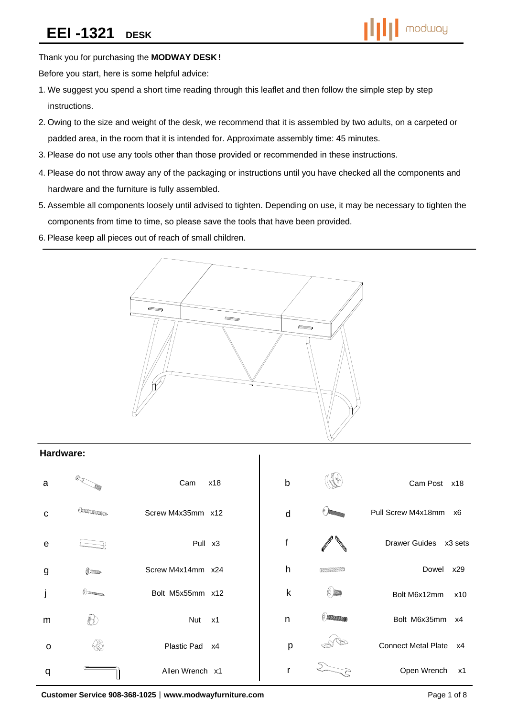Thank you for purchasing the **MODWAY DESK**!

Before you start, here is some helpful advice:

- 1.We suggest you spend a short time reading through this leaflet and then follow the simple step by step instructions.
- 2.Owing to the size and weight of the desk, we recommend that it is assembled by two adults, on a carpeted or padded area, in the room that it is intended for. Approximate assembly time: 45 minutes.
- 3.Please do not use any tools other than those provided or recommended in these instructions.
- 4.Please do not throw away any of the packaging or instructions until you have checked all the components and hardware and the furniture is fully assembled.
- 5.Assemble all components loosely until advised to tighten. Depending on use, it may be necessary to tighten the components from time to time, so please save the tools that have been provided.
- 6.Please keep all pieces out of reach of small children.



### **Hardware:**

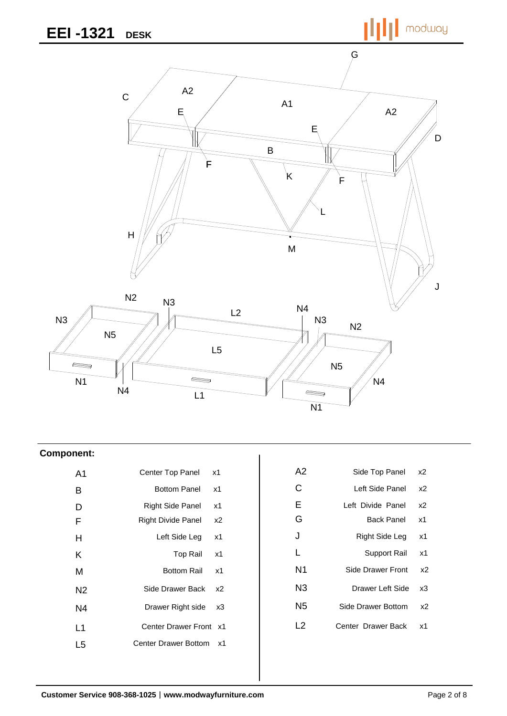modway



### **Component:**

| A <sub>1</sub> | Center Top Panel<br>x1               | A2             | Side Top Panel     | x2             |
|----------------|--------------------------------------|----------------|--------------------|----------------|
| B              | <b>Bottom Panel</b><br>x1            | C              | Left Side Panel    | x <sub>2</sub> |
| D              | Right Side Panel<br>x1               | Е              | Left Divide Panel  | x2             |
| F              | Right Divide Panel<br>x <sub>2</sub> | G              | <b>Back Panel</b>  | x1             |
| H              | Left Side Leg<br>x1                  | J              | Right Side Leg     | x1             |
| K              | <b>Top Rail</b><br>x1                | L              | Support Rail       | x1             |
| M              | <b>Bottom Rail</b><br>x1             | N <sub>1</sub> | Side Drawer Front  | x2             |
| N <sub>2</sub> | Side Drawer Back<br>x2               | N <sub>3</sub> | Drawer Left Side   | x3             |
| N4             | Drawer Right side<br>x3              | N <sub>5</sub> | Side Drawer Bottom | x <sub>2</sub> |
| L1             | Center Drawer Front x1               | L2             | Center Drawer Back | x1             |
| L <sub>5</sub> | Center Drawer Bottom<br>x1           |                |                    |                |
|                |                                      |                |                    |                |

| A2  | Side Top Panel     | х2 |
|-----|--------------------|----|
| С   | Left Side Panel    | x2 |
| Е   | Left Divide Panel  | х2 |
| G   | Back Panel         | x1 |
| J   | Right Side Leg     | x1 |
| L   | Support Rail       | x1 |
| N1  | Side Drawer Front  | х2 |
| N3  | Drawer Left Side   | xЗ |
| N5  | Side Drawer Bottom | х2 |
| l 2 | Center Drawer Back | x1 |
|     |                    |    |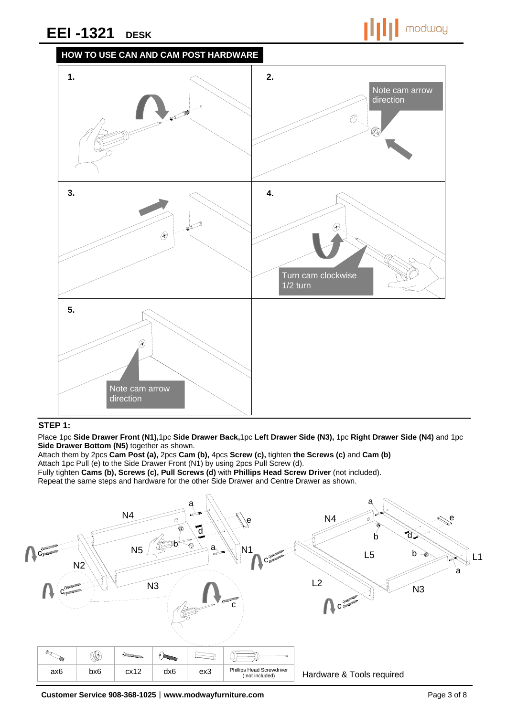



### **STEP 1:**

Place 1pc **Side Drawer Front (N1),**1pc **Side Drawer Back,**1pc **Left Drawer Side (N3),** 1pc **Right Drawer Side (N4)** and 1pc **Side Drawer Bottom (N5)** together as shown.

Attach them by 2pcs **Cam Post (a),** 2pcs **Cam (b),** 4pcs **Screw (c),** tighten **the Screws (c)** and **Cam (b)**  Attach 1pc Pull (e) to the Side Drawer Front (N1) by using 2pcs Pull Screw (d).

Fully tighten **Cams (b), Screws (c), Pull Screws (d)** with **Phillips Head Screw Driver** (not included).

Repeat the same steps and hardware for the other Side Drawer and Centre Drawer as shown.

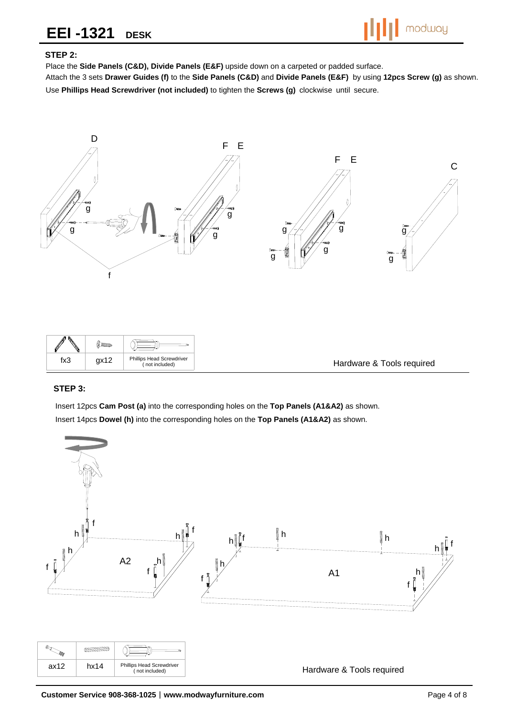

### **STEP 2:**

Place the **Side Panels (C&D), Divide Panels (E&F)** upside down on a carpeted or padded surface.

Attach the 3 sets **Drawer Guides (f)** to the **Side Panels (C&D)** and **Divide Panels (E&F)** by using **12pcs Screw (g)** as shown. Use **Phillips Head Screwdriver (not included)** to tighten the **Screws (g)** clockwise until secure.



| $\mathscr{P}$<br>N | $M_{\rm mm}$ |                                             |                           |
|--------------------|--------------|---------------------------------------------|---------------------------|
| fx3                | qx12         | Phillips Head Screwdriver<br>(not included) | Hardware & Tools required |

### **STEP 3:**

Insert 12pcs **Cam Post (a)** into the corresponding holes on the **Top Panels (A1&A2)** as shown. Insert 14pcs **Dowel (h)** into the corresponding holes on the **Top Panels (A1&A2)** as shown.

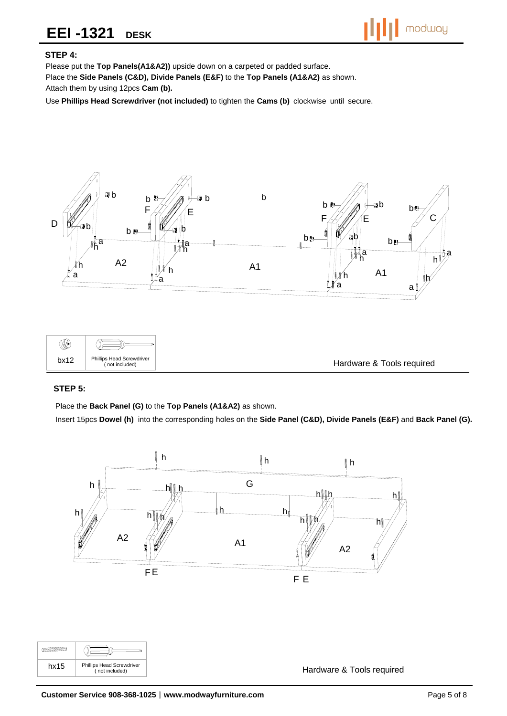

### **STEP 4:**

Please put the **Top Panels(A1&A2))** upside down on a carpeted or padded surface.

Place the **Side Panels (C&D), Divide Panels (E&F)** to the **Top Panels (A1&A2)** as shown.

Attach them by using 12pcs **Cam (b).**

Use **Phillips Head Screwdriver (not included)** to tighten the **Cams (b)** clockwise until secure.



### **STEP 5:**

Place the **Back Panel (G)** to the **Top Panels (A1&A2)** as shown.

Insert 15pcs **Dowel (h)** into the corresponding holes on the **Side Panel (C&D), Divide Panels (E&F)** and **Back Panel (G).**



 $\sqrt{2}$ Œ hx15 Phillips Head Screwdriver<br>
(not included)

Hardware & Tools required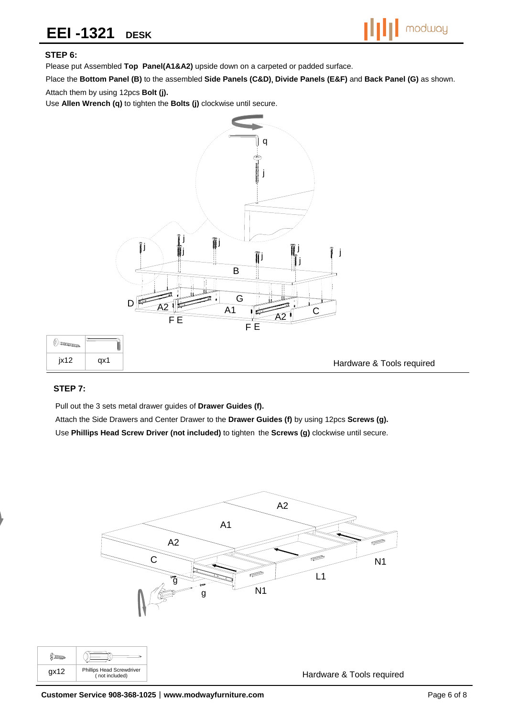

### **STEP 6:**

Please put Assembled **Top Panel(A1&A2)** upside down on a carpeted or padded surface.

Place the **Bottom Panel (B)** to the assembled **Side Panels (C&D)**, **Divide Panels (E&F)** and **Back Panel (G)** as shown.

Attach them by using 12pcs **Bolt (j).**

Use **Allen Wrench (q)** to tighten the **Bolts (j)** clockwise until secure.



### **STEP 7:**

Pull out the 3 sets metal drawer guides of **Drawer Guides (f).**

Attach the Side Drawers and Center Drawer to the **Drawer Guides (f)** by using 12pcs **Screws (g).**  Use **Phillips Head Screw Driver (not included)** to tighten the **Screws (g)** clockwise until secure.

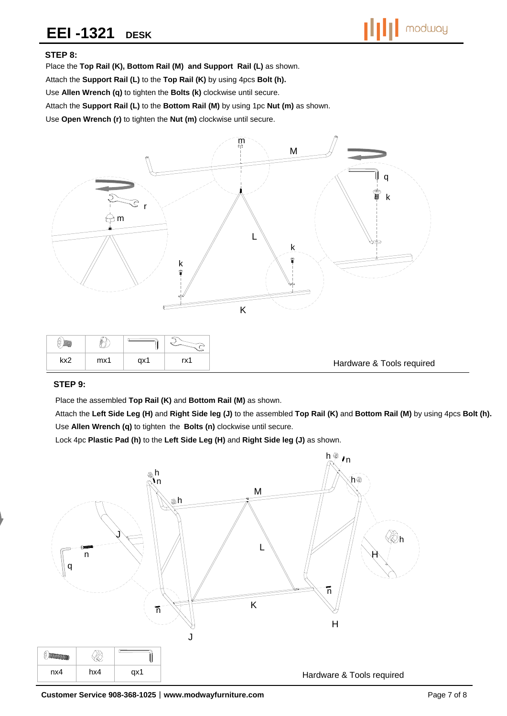

### **STEP 8:**

Place the **Top Rail (K), Bottom Rail (M) and Support Rail (L)** as shown. Attach the **Support Rail (L)** to the **Top Rail (K)** by using 4pcs **Bolt (h).** Use **Allen Wrench (q)** to tighten the **Bolts (k)** clockwise until secure. Attach the **Support Rail (L)** to the **Bottom Rail (M)** by using 1pc **Nut (m)** as shown. Use **Open Wrench (r)** to tighten the **Nut (m)** clockwise until secure.



#### Hardware & Tools required

#### **STEP 9:**

Place the assembled **Top Rail (K)** and **Bottom Rail (M)** as shown.

Attach the **Left Side Leg (H)** and **Right Side leg (J)** to the assembled **Top Rail (K)** and **Bottom Rail (M)** by using 4pcs **Bolt (h).** Use **Allen Wrench (q)** to tighten the **Bolts (n)** clockwise until secure.

Lock 4pc **Plastic Pad (h)** to the **Left Side Leg (H)** and **Right Side leg (J)** as shown.